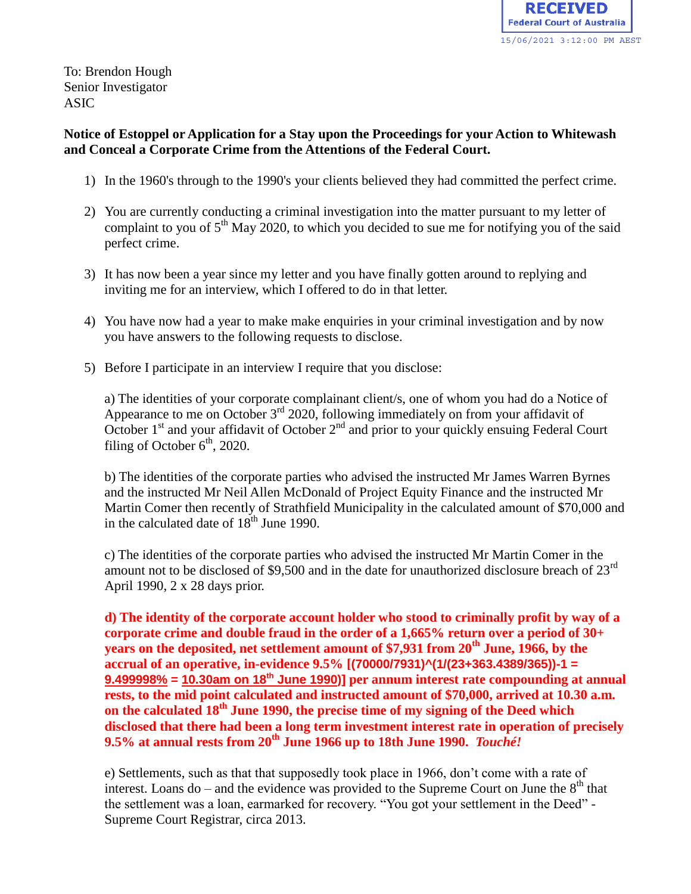

To: Brendon Hough Senior Investigator ASIC

## **Notice of Estoppel or Application for a Stay upon the Proceedings for your Action to Whitewash and Conceal a Corporate Crime from the Attentions of the Federal Court.**

- 1) In the 1960's through to the 1990's your clients believed they had committed the perfect crime.
- 2) You are currently conducting a criminal investigation into the matter pursuant to my letter of complaint to you of  $5<sup>th</sup>$  May 2020, to which you decided to sue me for notifying you of the said perfect crime.
- 3) It has now been a year since my letter and you have finally gotten around to replying and inviting me for an interview, which I offered to do in that letter.
- 4) You have now had a year to make make enquiries in your criminal investigation and by now you have answers to the following requests to disclose.
- 5) Before I participate in an interview I require that you disclose:

a) The identities of your corporate complainant client/s, one of whom you had do a Notice of Appearance to me on October  $3<sup>rd</sup>$  2020, following immediately on from your affidavit of October  $1<sup>st</sup>$  and your affidavit of October  $2<sup>nd</sup>$  and prior to your quickly ensuing Federal Court filing of October  $6<sup>th</sup>$ , 2020.

b) The identities of the corporate parties who advised the instructed Mr James Warren Byrnes and the instructed Mr Neil Allen McDonald of Project Equity Finance and the instructed Mr Martin Comer then recently of Strathfield Municipality in the calculated amount of \$70,000 and in the calculated date of  $18<sup>th</sup>$  June 1990.

c) The identities of the corporate parties who advised the instructed Mr Martin Comer in the amount not to be disclosed of \$9,500 and in the date for unauthorized disclosure breach of 23rd April 1990, 2 x 28 days prior.

**d) The identity of the corporate account holder who stood to criminally profit by way of a corporate crime and double fraud in the order of a 1,665% return over a period of 30+ years on the deposited, net settlement amount of \$7,931 from 20th June, 1966, by the accrual of an operative, in-evidence 9.5% [(70000/7931)^(1/(23+363.4389/365))-1 = 9.499998% = 10.30am on 18th June 1990)] per annum interest rate compounding at annual rests, to the mid point calculated and instructed amount of \$70,000, arrived at 10.30 a.m. on the calculated 18th June 1990, the precise time of my signing of the Deed which disclosed that there had been a long term investment interest rate in operation of precisely 9.5% at annual rests from 20th June 1966 up to 18th June 1990.** *Touché!*

e) Settlements, such as that that supposedly took place in 1966, don't come with a rate of interest. Loans do – and the evidence was provided to the Supreme Court on June the  $8<sup>th</sup>$  that the settlement was a loan, earmarked for recovery. "You got your settlement in the Deed" - Supreme Court Registrar, circa 2013.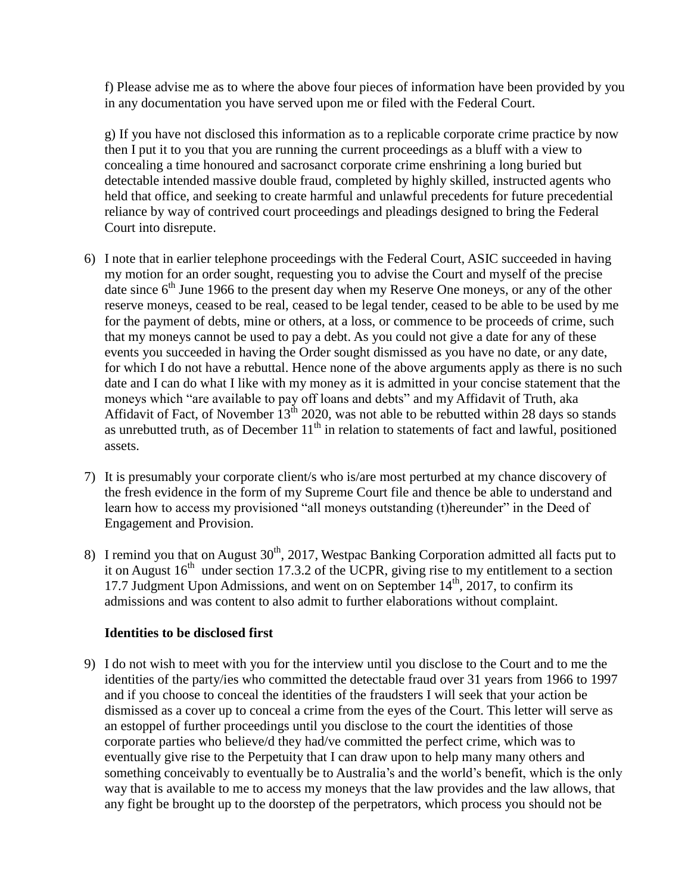f) Please advise me as to where the above four pieces of information have been provided by you in any documentation you have served upon me or filed with the Federal Court.

g) If you have not disclosed this information as to a replicable corporate crime practice by now then I put it to you that you are running the current proceedings as a bluff with a view to concealing a time honoured and sacrosanct corporate crime enshrining a long buried but detectable intended massive double fraud, completed by highly skilled, instructed agents who held that office, and seeking to create harmful and unlawful precedents for future precedential reliance by way of contrived court proceedings and pleadings designed to bring the Federal Court into disrepute.

- 6) I note that in earlier telephone proceedings with the Federal Court, ASIC succeeded in having my motion for an order sought, requesting you to advise the Court and myself of the precise date since  $6<sup>th</sup>$  June 1966 to the present day when my Reserve One moneys, or any of the other reserve moneys, ceased to be real, ceased to be legal tender, ceased to be able to be used by me for the payment of debts, mine or others, at a loss, or commence to be proceeds of crime, such that my moneys cannot be used to pay a debt. As you could not give a date for any of these events you succeeded in having the Order sought dismissed as you have no date, or any date, for which I do not have a rebuttal. Hence none of the above arguments apply as there is no such date and I can do what I like with my money as it is admitted in your concise statement that the moneys which "are available to pay off loans and debts" and my Affidavit of Truth, aka Affidavit of Fact, of November  $13^{th}$  2020, was not able to be rebutted within 28 days so stands as unrebutted truth, as of December  $11<sup>th</sup>$  in relation to statements of fact and lawful, positioned assets.
- 7) It is presumably your corporate client/s who is/are most perturbed at my chance discovery of the fresh evidence in the form of my Supreme Court file and thence be able to understand and learn how to access my provisioned "all moneys outstanding (t)hereunder" in the Deed of Engagement and Provision.
- 8) I remind you that on August  $30<sup>th</sup>$ ,  $2017$ , Westpac Banking Corporation admitted all facts put to it on August  $16<sup>th</sup>$  under section 17.3.2 of the UCPR, giving rise to my entitlement to a section 17.7 Judgment Upon Admissions, and went on on September  $14<sup>th</sup>$ , 2017, to confirm its admissions and was content to also admit to further elaborations without complaint.

## **Identities to be disclosed first**

9) I do not wish to meet with you for the interview until you disclose to the Court and to me the identities of the party/ies who committed the detectable fraud over 31 years from 1966 to 1997 and if you choose to conceal the identities of the fraudsters I will seek that your action be dismissed as a cover up to conceal a crime from the eyes of the Court. This letter will serve as an estoppel of further proceedings until you disclose to the court the identities of those corporate parties who believe/d they had/ve committed the perfect crime, which was to eventually give rise to the Perpetuity that I can draw upon to help many many others and something conceivably to eventually be to Australia's and the world's benefit, which is the only way that is available to me to access my moneys that the law provides and the law allows, that any fight be brought up to the doorstep of the perpetrators, which process you should not be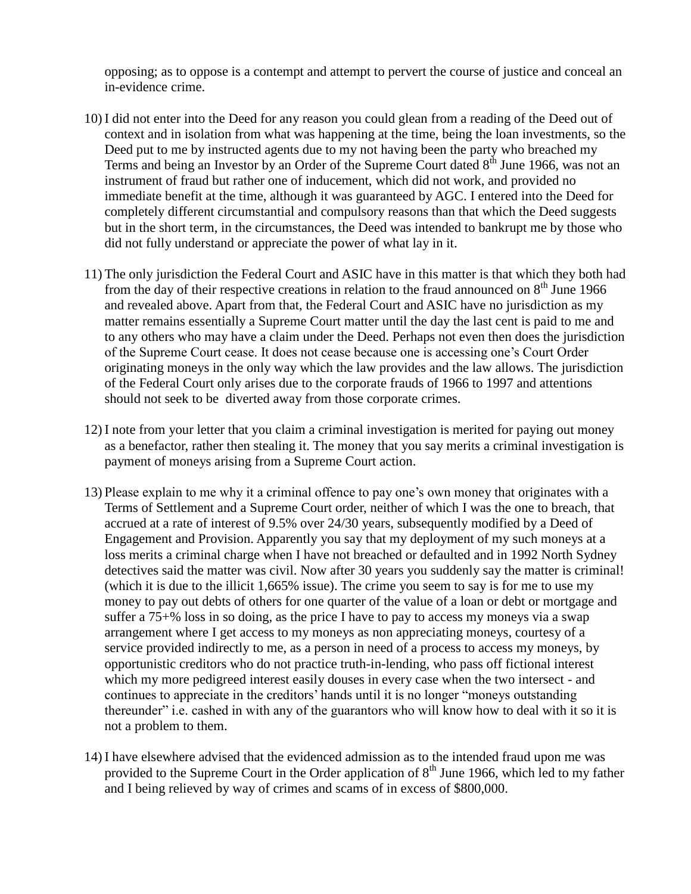opposing; as to oppose is a contempt and attempt to pervert the course of justice and conceal an in-evidence crime.

- 10) I did not enter into the Deed for any reason you could glean from a reading of the Deed out of context and in isolation from what was happening at the time, being the loan investments, so the Deed put to me by instructed agents due to my not having been the party who breached my Terms and being an Investor by an Order of the Supreme Court dated  $8^{th}$  June 1966, was not an instrument of fraud but rather one of inducement, which did not work, and provided no immediate benefit at the time, although it was guaranteed by AGC. I entered into the Deed for completely different circumstantial and compulsory reasons than that which the Deed suggests but in the short term, in the circumstances, the Deed was intended to bankrupt me by those who did not fully understand or appreciate the power of what lay in it.
- 11) The only jurisdiction the Federal Court and ASIC have in this matter is that which they both had from the day of their respective creations in relation to the fraud announced on  $8<sup>th</sup>$  June 1966 and revealed above. Apart from that, the Federal Court and ASIC have no jurisdiction as my matter remains essentially a Supreme Court matter until the day the last cent is paid to me and to any others who may have a claim under the Deed. Perhaps not even then does the jurisdiction of the Supreme Court cease. It does not cease because one is accessing one's Court Order originating moneys in the only way which the law provides and the law allows. The jurisdiction of the Federal Court only arises due to the corporate frauds of 1966 to 1997 and attentions should not seek to be diverted away from those corporate crimes.
- 12) I note from your letter that you claim a criminal investigation is merited for paying out money as a benefactor, rather then stealing it. The money that you say merits a criminal investigation is payment of moneys arising from a Supreme Court action.
- 13) Please explain to me why it a criminal offence to pay one's own money that originates with a Terms of Settlement and a Supreme Court order, neither of which I was the one to breach, that accrued at a rate of interest of 9.5% over 24/30 years, subsequently modified by a Deed of Engagement and Provision. Apparently you say that my deployment of my such moneys at a loss merits a criminal charge when I have not breached or defaulted and in 1992 North Sydney detectives said the matter was civil. Now after 30 years you suddenly say the matter is criminal! (which it is due to the illicit 1,665% issue). The crime you seem to say is for me to use my money to pay out debts of others for one quarter of the value of a loan or debt or mortgage and suffer a 75+% loss in so doing, as the price I have to pay to access my moneys via a swap arrangement where I get access to my moneys as non appreciating moneys, courtesy of a service provided indirectly to me, as a person in need of a process to access my moneys, by opportunistic creditors who do not practice truth-in-lending, who pass off fictional interest which my more pedigreed interest easily douses in every case when the two intersect - and continues to appreciate in the creditors' hands until it is no longer "moneys outstanding thereunder" i.e. cashed in with any of the guarantors who will know how to deal with it so it is not a problem to them.
- 14) I have elsewhere advised that the evidenced admission as to the intended fraud upon me was provided to the Supreme Court in the Order application of  $8<sup>th</sup>$  June 1966, which led to my father and I being relieved by way of crimes and scams of in excess of \$800,000.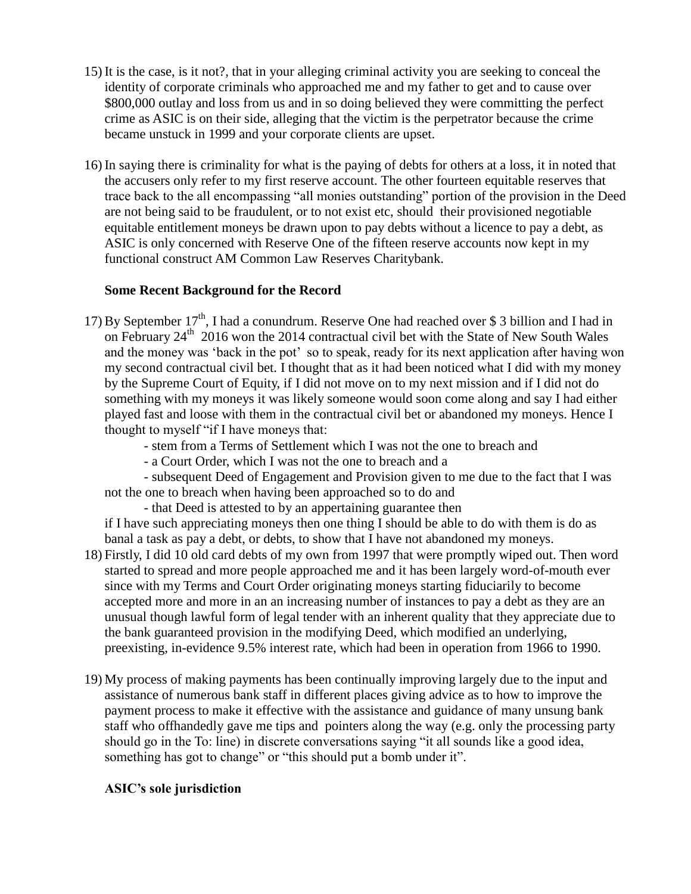- 15) It is the case, is it not?, that in your alleging criminal activity you are seeking to conceal the identity of corporate criminals who approached me and my father to get and to cause over \$800,000 outlay and loss from us and in so doing believed they were committing the perfect crime as ASIC is on their side, alleging that the victim is the perpetrator because the crime became unstuck in 1999 and your corporate clients are upset.
- 16) In saying there is criminality for what is the paying of debts for others at a loss, it in noted that the accusers only refer to my first reserve account. The other fourteen equitable reserves that trace back to the all encompassing "all monies outstanding" portion of the provision in the Deed are not being said to be fraudulent, or to not exist etc, should their provisioned negotiable equitable entitlement moneys be drawn upon to pay debts without a licence to pay a debt, as ASIC is only concerned with Reserve One of the fifteen reserve accounts now kept in my functional construct AM Common Law Reserves Charitybank.

## **Some Recent Background for the Record**

17) By September 17<sup>th</sup>, I had a conundrum. Reserve One had reached over \$ 3 billion and I had in on February 24<sup>th</sup> 2016 won the 2014 contractual civil bet with the State of New South Wales and the money was 'back in the pot' so to speak, ready for its next application after having won my second contractual civil bet. I thought that as it had been noticed what I did with my money by the Supreme Court of Equity, if I did not move on to my next mission and if I did not do something with my moneys it was likely someone would soon come along and say I had either played fast and loose with them in the contractual civil bet or abandoned my moneys. Hence I thought to myself "if I have moneys that:

- stem from a Terms of Settlement which I was not the one to breach and

- a Court Order, which I was not the one to breach and a

- subsequent Deed of Engagement and Provision given to me due to the fact that I was not the one to breach when having been approached so to do and

- that Deed is attested to by an appertaining guarantee then

if I have such appreciating moneys then one thing I should be able to do with them is do as banal a task as pay a debt, or debts, to show that I have not abandoned my moneys.

- 18) Firstly, I did 10 old card debts of my own from 1997 that were promptly wiped out. Then word started to spread and more people approached me and it has been largely word-of-mouth ever since with my Terms and Court Order originating moneys starting fiduciarily to become accepted more and more in an an increasing number of instances to pay a debt as they are an unusual though lawful form of legal tender with an inherent quality that they appreciate due to the bank guaranteed provision in the modifying Deed, which modified an underlying, preexisting, in-evidence 9.5% interest rate, which had been in operation from 1966 to 1990.
- 19) My process of making payments has been continually improving largely due to the input and assistance of numerous bank staff in different places giving advice as to how to improve the payment process to make it effective with the assistance and guidance of many unsung bank staff who offhandedly gave me tips and pointers along the way (e.g. only the processing party should go in the To: line) in discrete conversations saying "it all sounds like a good idea, something has got to change" or "this should put a bomb under it".

## **ASIC's sole jurisdiction**